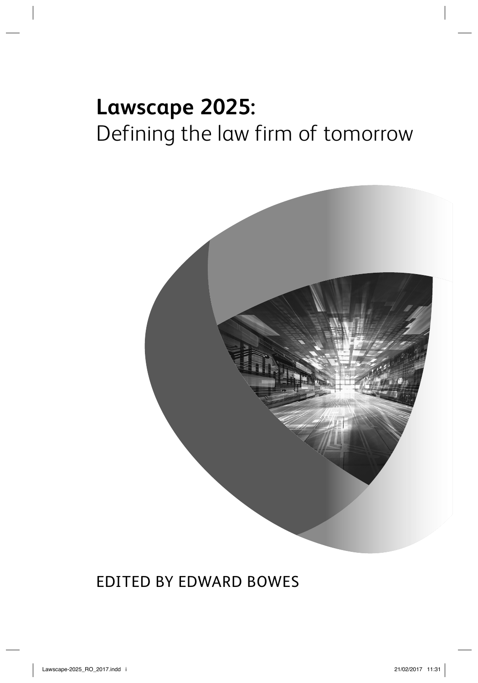# **Lawscape 2025:** Defining the law firm of tomorrow



### EDITED BY EDWARD BOWES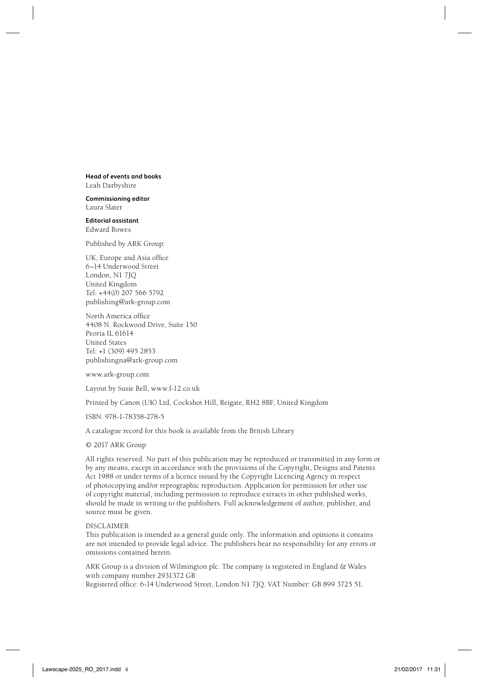**Head of events and books** Leah Darbyshire

**Commissioning editor** Laura Slater

**Editorial assistant** Edward Bowes

Published by ARK Group:

UK, Europe and Asia office 6–14 Underwood Street London, N1 7JQ United Kingdom Tel: +44(0) 207 566 5792 publishing@ark-group.com

North America office 4408 N. Rockwood Drive, Suite 150 Peoria IL 61614 United States Tel: +1 (309) 495 2853 publishingna@ark-group.com

www.ark-group.com

Layout by Susie Bell, www.f-12.co.uk

Printed by Canon (UK) Ltd, Cockshot Hill, Reigate, RH2 8BF, United Kingdom

ISBN: 978-1-78358-278-5

A catalogue record for this book is available from the British Library

© 2017 ARK Group

All rights reserved. No part of this publication may be reproduced or transmitted in any form or by any means, except in accordance with the provisions of the Copyright, Designs and Patents Act 1988 or under terms of a licence issued by the Copyright Licencing Agency in respect of photocopying and/or reprographic reproduction. Application for permission for other use of copyright material, including permission to reproduce extracts in other published works, should be made in writing to the publishers. Full acknowledgement of author, publisher, and source must be given.

DISCLAIMER

This publication is intended as a general guide only. The information and opinions it contains are not intended to provide legal advice. The publishers bear no responsibility for any errors or omissions contained herein.

ARK Group is a division of Wilmington plc. The company is registered in England & Wales with company number 2931372 GB

Registered office: 6-14 Underwood Street, London N1 7JQ. VAT Number: GB 899 3725 51.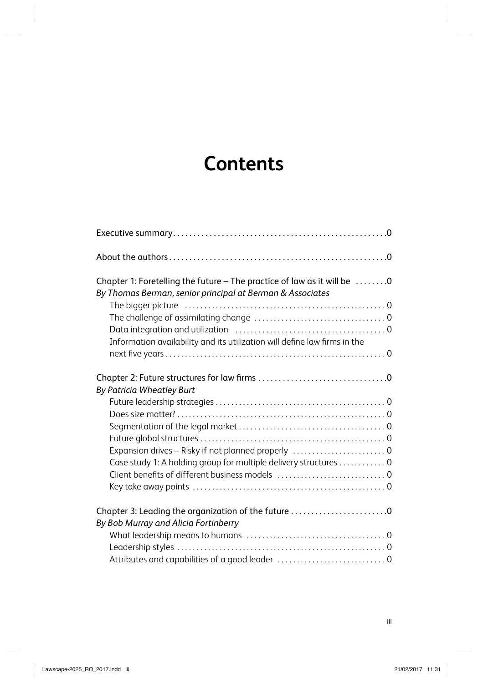## **Contents**

| Chapter 1: Foretelling the future - The practice of law as it will be 0   |  |
|---------------------------------------------------------------------------|--|
| By Thomas Berman, senior principal at Berman & Associates                 |  |
|                                                                           |  |
|                                                                           |  |
|                                                                           |  |
| Information availability and its utilization will define law firms in the |  |
|                                                                           |  |
|                                                                           |  |
| By Patricia Wheatley Burt                                                 |  |
|                                                                           |  |
|                                                                           |  |
|                                                                           |  |
|                                                                           |  |
| Expansion drives - Risky if not planned properly  0                       |  |
| Case study 1: A holding group for multiple delivery structures 0          |  |
| Client benefits of different business models  0                           |  |
|                                                                           |  |
| Chapter 3: Leading the organization of the future 0                       |  |
| By Bob Murray and Alicia Fortinberry                                      |  |
|                                                                           |  |
|                                                                           |  |
|                                                                           |  |
|                                                                           |  |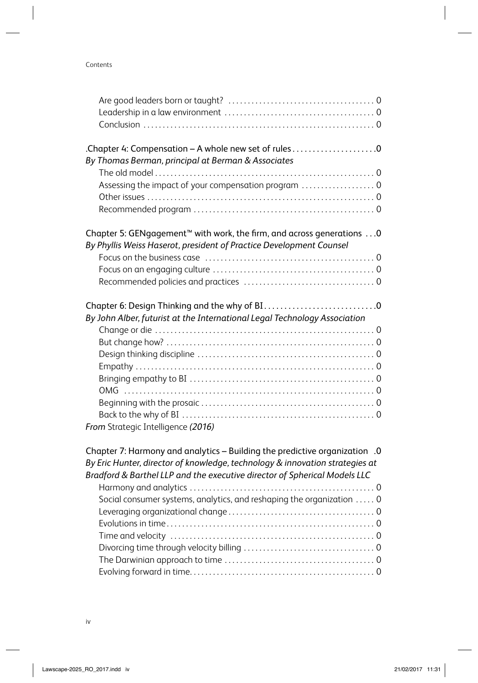#### Contents

| Chapter 4: Compensation - A whole new set of rules0                               |  |
|-----------------------------------------------------------------------------------|--|
| By Thomas Berman, principal at Berman & Associates                                |  |
|                                                                                   |  |
| Assessing the impact of your compensation program  0                              |  |
|                                                                                   |  |
|                                                                                   |  |
| Chapter 5: GENgagement <sup>™</sup> with work, the firm, and across generations 0 |  |
| By Phyllis Weiss Haserot, president of Practice Development Counsel               |  |
|                                                                                   |  |
|                                                                                   |  |
|                                                                                   |  |
|                                                                                   |  |
| By John Alber, futurist at the International Legal Technology Association         |  |
|                                                                                   |  |
|                                                                                   |  |
|                                                                                   |  |
|                                                                                   |  |
|                                                                                   |  |
|                                                                                   |  |
|                                                                                   |  |
|                                                                                   |  |
| From Strategic Intelligence (2016)                                                |  |
| O. Chapter 7: Harmony and analytics - Building the predictive organization .0     |  |
| By Eric Hunter, director of knowledge, technology & innovation strategies at      |  |
| Bradford & Barthel LLP and the executive director of Spherical Models LLC         |  |
|                                                                                   |  |
| Social consumer systems, analytics, and reshaping the organization  0             |  |
|                                                                                   |  |
|                                                                                   |  |
|                                                                                   |  |
|                                                                                   |  |
|                                                                                   |  |
|                                                                                   |  |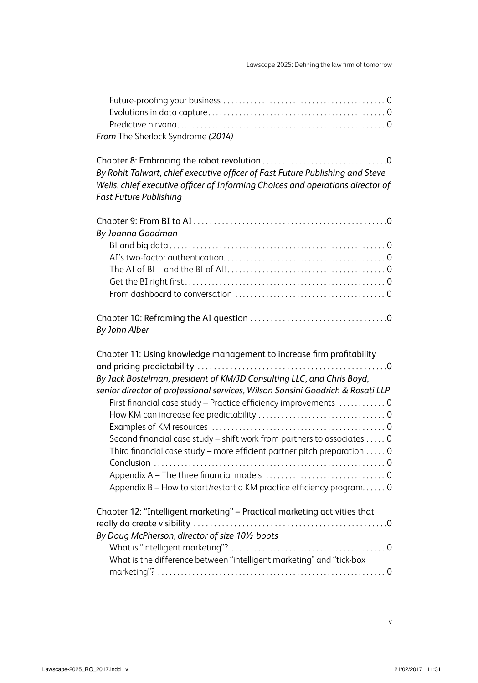Lawscape 2025: Defining the law firm of tomorrow

| From The Sherlock Syndrome (2014) |  |  |
|-----------------------------------|--|--|

Chapter 8: Embracing the robot revolution . . . . . . . . . . . . . . . . . . . . . . . . . . . . . . .0 By Rohit Talwart, chief executive officer of Fast Future Publishing and Steve *Wells, chief executive officer of Informing Choices and operations director of Fast Future Publishing*

| By Joanna Goodman |  |
|-------------------|--|
|                   |  |
|                   |  |
|                   |  |
|                   |  |
|                   |  |
| By John Alber     |  |

| Chapter 11: Using knowledge management to increase firm profitability          |
|--------------------------------------------------------------------------------|
| By Jack Bostelman, president of KM/JD Consulting LLC, and Chris Boyd,          |
| senior director of professional services, Wilson Sonsini Goodrich & Rosati LLP |
| First financial case study - Practice efficiency improvements  0               |
|                                                                                |
|                                                                                |
| Second financial case study – shift work from partners to associates  0        |
| Third financial case study - more efficient partner pitch preparation  0       |
|                                                                                |
|                                                                                |
| Appendix B – How to start/restart a KM practice efficiency program 0           |
|                                                                                |
| Chapter 12: "Intelligent marketing" - Practical marketing activities that      |
|                                                                                |
| By Doug McPherson, director of size 101/2 boots                                |
|                                                                                |
| What is the difference between "intelligent marketing" and "tick-box           |
|                                                                                |